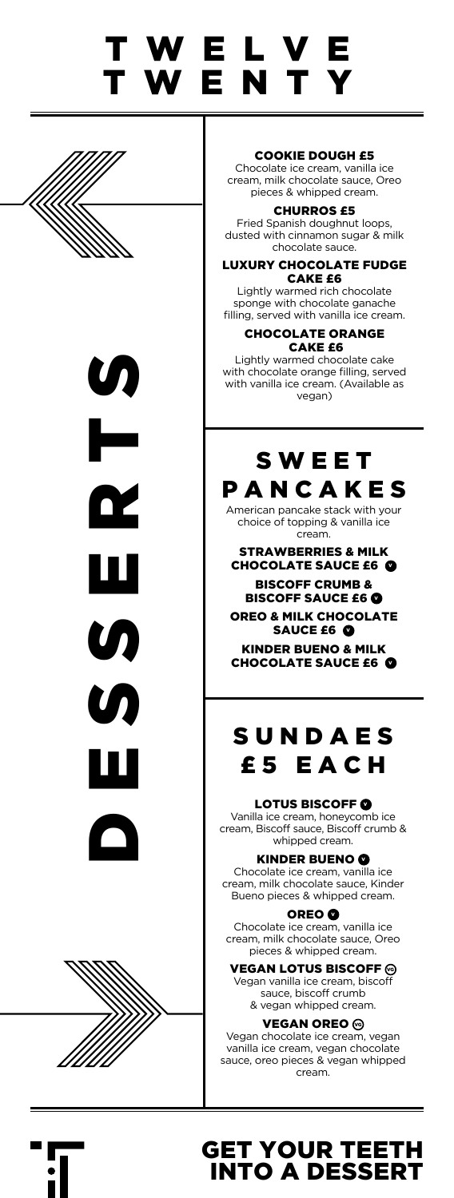## T W E L V E TWENTY







### COOKIE DOUGH £5

Chocolate ice cream, vanilla ice cream, milk chocolate sauce, Oreo pieces & whipped cream.

CHURROS £5 Fried Spanish doughnut loops, dusted with cinnamon sugar & milk chocolate sauce.

#### LUXURY CHOCOLATE FUDGE CAKE £6

Lightly warmed rich chocolate sponge with chocolate ganache filling, served with vanilla ice cream.

CHOCOLATE ORANGE CAKE £6 Lightly warmed chocolate cake

with chocolate orange filling, served with vanilla ice cream. (Available as vegan)

### S W E E T PANCAKES

American pancake stack with your choice of topping & vanilla ice cream.

STRAWBERRIES & MILK CHOCOLATE SAUCE £6 BISCOFF CRUMB & BISCOFF SAUCE £6

OREO & MILK CHOCOLATE SAUCE £6

KINDER BUENO & MILK CHOCOLATE SAUCE £6

### S U N D A E S £5 EACH

#### LOTUS BISCOFF @

Vanilla ice cream, honeycomb ice cream, Biscoff sauce, Biscoff crumb & whipped cream.

### KINDER BUENO O

Chocolate ice cream, vanilla ice cream, milk chocolate sauce, Kinder Bueno pieces & whipped cream.

#### OREO **O**

Chocolate ice cream, vanilla ice cream, milk chocolate sauce, Oreo pieces & whipped cream.

### VEGAN LOTUS BISCOFF  $\odot$

Vegan vanilla ice cream, biscoff sauce, biscoff crumb & vegan whipped cream.

#### **VEGAN OREO**

Vegan chocolate ice cream, vegan vanilla ice cream, vegan chocolate sauce, oreo pieces & vegan whipped cream.



### GET YOUR TEETH INTO A DESSERT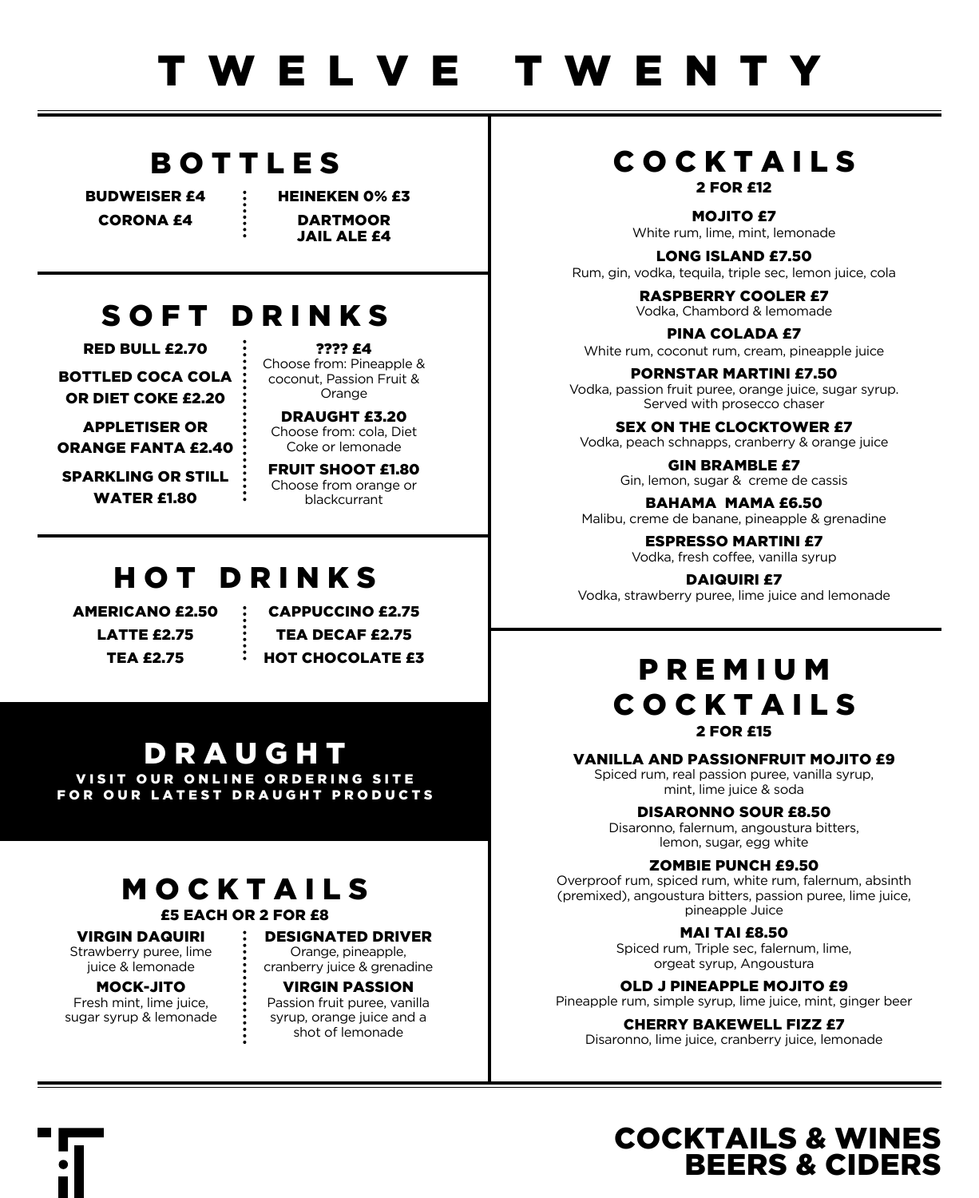### BOTTLES

BUDWEISER £4 CORONA £4

HEINEKEN 0% £3 DARTMOOR JAIL ALE £4

### SOFT DRINKS

RED BULL £2.70 BOTTLED COCA COLA OR DIET COKE £2.20

APPLETISER OR ORANGE FANTA £2.40

SPARKLING OR STILL WATER £1.80

???? £4 Choose from: Pineapple & coconut, Passion Fruit & Orange

DRAUGHT £3.20 Choose from: cola, Diet Coke or lemonade

FRUIT SHOOT £1.80 Choose from orange or blackcurrant

### HOT DRINKS

AMERICANO £2.50 LATTE £2.75 TEA £2.75

CAPPUCCINO £2.75 TEA DECAF £2.75 HOT CHOCOLATE £3

### DRAUGHT

VISIT OUR ONLINE ORDERING SITE FOR OUR LATEST DRAUGHT PRODUCTS

## MOCKTAILS

VIRGIN DAQUIRI Strawberry puree, lime juice & lemonade

MOCK-JITO Fresh mint, lime juice, sugar syrup & lemonade

£5 EACH OR 2 FOR £8

### DESIGNATED DRIVER

Orange, pineapple, cranberry juice & grenadine

#### VIRGIN PASSION

Passion fruit puree, vanilla syrup, orange juice and a shot of lemonade

### COCKTAILS 2 FOR £12

MOJITO £7 White rum, lime, mint, lemonade

LONG ISLAND £7.50 Rum, gin, vodka, tequila, triple sec, lemon juice, cola

> RASPBERRY COOLER £7 Vodka, Chambord & lemomade

PINA COLADA £7 White rum, coconut rum, cream, pineapple juice

PORNSTAR MARTINI £7.50 Vodka, passion fruit puree, orange juice, sugar syrup. Served with prosecco chaser

SEX ON THE CLOCKTOWER £7 Vodka, peach schnapps, cranberry & orange juice

> GIN BRAMBLE £7 Gin, lemon, sugar & creme de cassis

BAHAMA MAMA £6.50 Malibu, creme de banane, pineapple & grenadine

> ESPRESSO MARTINI £7 Vodka, fresh coffee, vanilla syrup

DAIQUIRI £7 Vodka, strawberry puree, lime juice and lemonade

### P R E M I U M COCKTAILS 2 FOR £15

#### VANILLA AND PASSIONFRUIT MOJITO £9

Spiced rum, real passion puree, vanilla syrup, mint, lime juice & soda

#### DISARONNO SOUR £8.50

Disaronno, falernum, angoustura bitters, lemon, sugar, egg white

### ZOMBIE PUNCH £9.50

Overproof rum, spiced rum, white rum, falernum, absinth (premixed), angoustura bitters, passion puree, lime juice, pineapple Juice

MAI TAI £8.50

Spiced rum, Triple sec, falernum, lime, orgeat syrup, Angoustura

OLD J PINEAPPLE MOJITO £9

Pineapple rum, simple syrup, lime juice, mint, ginger beer

CHERRY BAKEWELL FIZZ £7

Disaronno, lime juice, cranberry juice, lemonade

### COCKTAILS & WINES BEERS & CIDERS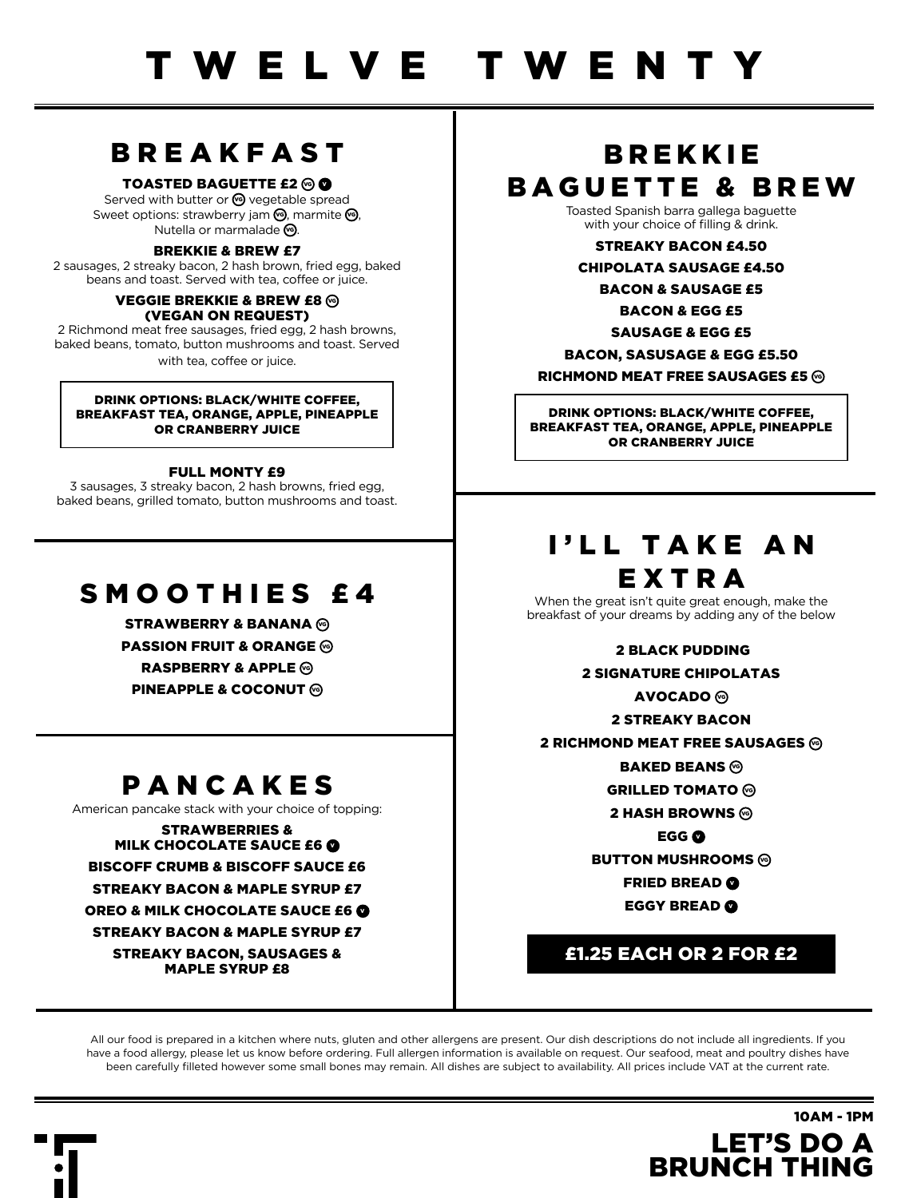### BREAKFAST

### TOASTED BAGUETTE  $f2@$

Served with butter or **S** vegetable spread Sweet options: strawberry jam  $\mathcal{O}_1$ , marmite  $\mathcal{O}_2$ , Nutella or marmalade <a>

#### BREKKIE & BREW £7

2 sausages, 2 streaky bacon, 2 hash brown, fried egg, baked beans and toast. Served with tea, coffee or juice.

#### VEGGIE BREKKIE & BREW £8 @ (VEGAN ON REQUEST)

2 Richmond meat free sausages, fried egg, 2 hash browns, baked beans, tomato, button mushrooms and toast. Served with tea, coffee or juice.

#### DRINK OPTIONS: BLACK/WHITE COFFEE, BREAKFAST TEA, ORANGE, APPLE, PINEAPPLE OR CRANBERRY JUICE

#### FULL MONTY £9

3 sausages, 3 streaky bacon, 2 hash browns, fried egg, baked beans, grilled tomato, button mushrooms and toast.

### SMOOTHIES £4

STRAWBERRY & BANANA @ **PASSION FRUIT & ORANGE** @ RASPBERRY & APPLE  $\circledcirc$ **PINEAPPLE & COCONUT**  $\circledcirc$ 

### PANCAKES

American pancake stack with your choice of topping:

STRAWBERRIES & MILK CHOCOLATE SAUCE £6 BISCOFF CRUMB & BISCOFF SAUCE £6 STREAKY BACON & MAPLE SYRUP £7

OREO & MILK CHOCOLATE SAUCE £6 STREAKY BACON & MAPLE SYRUP £7

STREAKY BACON, SAUSAGES & MAPLE SYRUP £8

### **BREKKIE** BAGUETTE & BREW

Toasted Spanish barra gallega baguette with your choice of filling & drink.

STREAKY BACON £4.50

CHIPOLATA SAUSAGE £4.50

BACON & SAUSAGE £5

BACON & EGG £5 SAUSAGE & EGG £5

BACON, SASUSAGE & EGG £5.50

RICHMOND MEAT FREE SAUSAGES  $65 \, \text{\textdegree}$ 

DRINK OPTIONS: BLACK/WHITE COFFEE, BREAKFAST TEA, ORANGE, APPLE, PINEAPPLE OR CRANBERRY JUICE

### I'LL TAKE AN EXTRA

When the great isn't quite great enough, make the breakfast of your dreams by adding any of the below

2 BLACK PUDDING

2 SIGNATURE CHIPOLATAS

**AVOCADO ⓒ** 

2 STREAKY BACON

2 RICHMOND MEAT FREE SAUSAGES @

**BAKED BEANS** 

**GRILLED TOMATO** 

2 HASH BROWNS  $\circledcirc$ 

**EGG @** 

**BUTTON MUSHROOMS** 

**FRIED BREAD @** 

**EGGY BREAD @** 

### £1.25 EACH OR 2 FOR £2

LET'S DO A BRUNCH THING

10AM - 1PM

All our food is prepared in a kitchen where nuts, gluten and other allergens are present. Our dish descriptions do not include all ingredients. If you have a food allergy, please let us know before ordering. Full allergen information is available on request. Our seafood, meat and poultry dishes have been carefully filleted however some small bones may remain. All dishes are subject to availability. All prices include VAT at the current rate.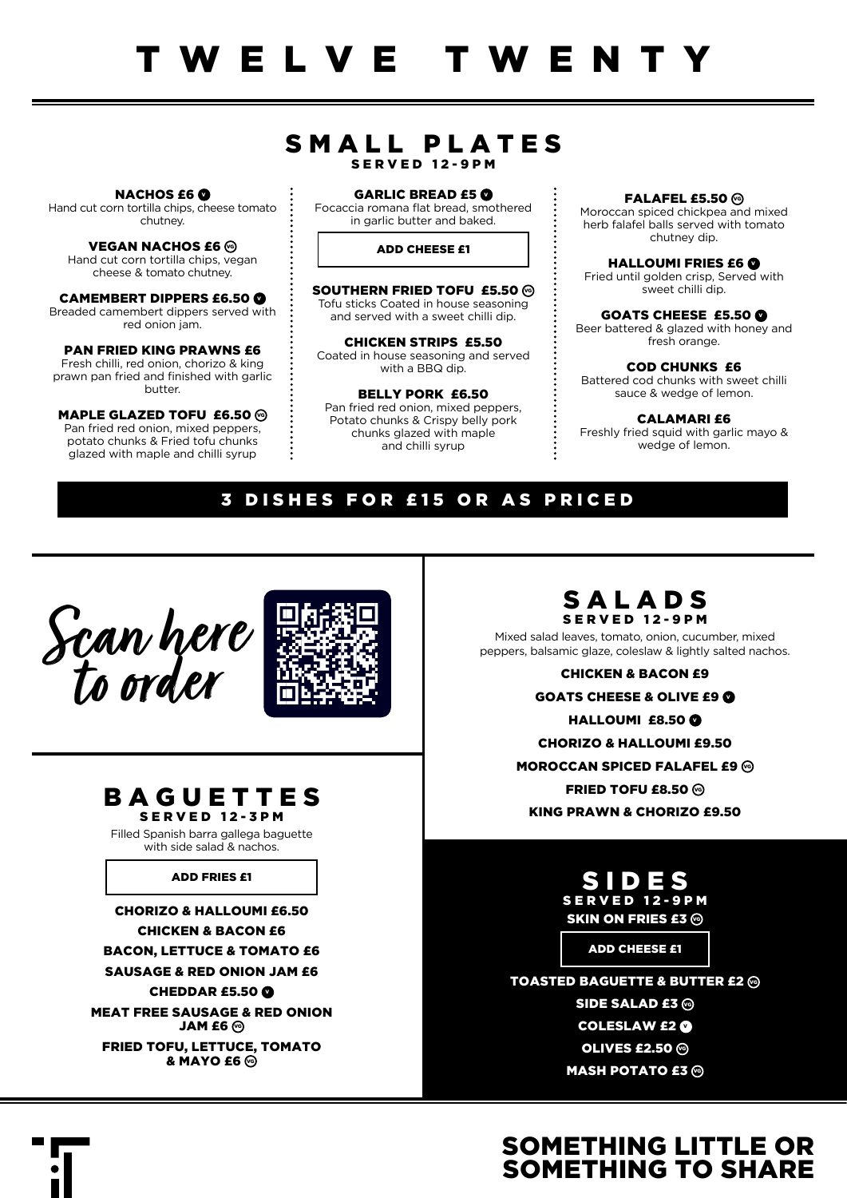### SMALL PLATES SERVED 12-9PM

**NACHOS £6 O** Hand cut corn tortilla chips, cheese tomato chutney.

**VEGAN NACHOS £6 @** Hand cut corn tortilla chips, vegan cheese & tomato chutney.

CAMEMBERT DIPPERS £6.50 Breaded camembert dippers served with red onion jam.

PAN FRIED KING PRAWNS £6 Fresh chilli, red onion, chorizo & king prawn pan fried and finished with garlic butter.

MAPLE GLAZED TOFU £6.50  $\circledcirc$ Pan fried red onion, mixed peppers, potato chunks & Fried tofu chunks glazed with maple and chilli syrup

GARLIC BREAD £5 Focaccia romana flat bread, smothered in garlic butter and baked.

ADD CHEESE £1

SOUTHERN FRIED TOFU £5.50 % Tofu sticks Coated in house seasoning and served with a sweet chilli dip.

CHICKEN STRIPS £5.50 Coated in house seasoning and served with a BBQ dip.

BELLY PORK £6.50 Pan fried red onion, mixed peppers, Potato chunks & Crispy belly pork chunks glazed with maple and chilli syrup

FALAFEL £5.50  $\odot$ Moroccan spiced chickpea and mixed herb falafel balls served with tomato chutney dip.

HALLOUMI FRIES £6 @ Fried until golden crisp, Served with sweet chilli dip.

GOATS CHEESE £5.50 Beer battered & glazed with honey and fresh orange.

COD CHUNKS £6 Battered cod chunks with sweet chilli sauce & wedge of lemon.

CALAMARI £6 Freshly fried squid with garlic mayo & wedge of lemon.

### 3 DISHES FOR £15 OR AS PRICED





SERVED 12-3PM

Filled Spanish barra gallega baguette with side salad & nachos.

### ADD FRIES £1

CHORIZO & HALLOUMI £6.50 CHICKEN & BACON £6 BACON, LETTUCE & TOMATO £6 SAUSAGE & RED ONION JAM £6 CHEDDAR  $£5.50$   $@$ MEAT FREE SAUSAGE & RED ONION  $JAM$  fr $\mathcal G$ FRIED TOFU, LETTUCE, TOMATO & **MAYO** £6 <sup>©</sup>



 $\ddot{\cdot}$ 

Mixed salad leaves, tomato, onion, cucumber, mixed peppers, balsamic glaze, coleslaw & lightly salted nachos.

> CHICKEN & BACON £9 **GOATS CHEESE & OLIVE £9 @** HALLOUMI £8.50 C CHORIZO & HALLOUMI £9.50 MOROCCAN SPICED FALAFEL £9 @ FRIED TOFU  $£8.50$  % KING PRAWN & CHORIZO £9.50

> > S I D E S SERVED 12-9PM SKIN ON FRIES £3 @

> > > ADD CHEESE £1

TOASTED BAGUETTE & BUTTER  $f2@$ SIDE SALAD £3 @ **COLESLAW £2 ®** OLIVES  $£2.50$   $\odot$ **MASH POTATO £3 @** 

### SOMETHING LITTLE OR SOMETHING TO SHARE